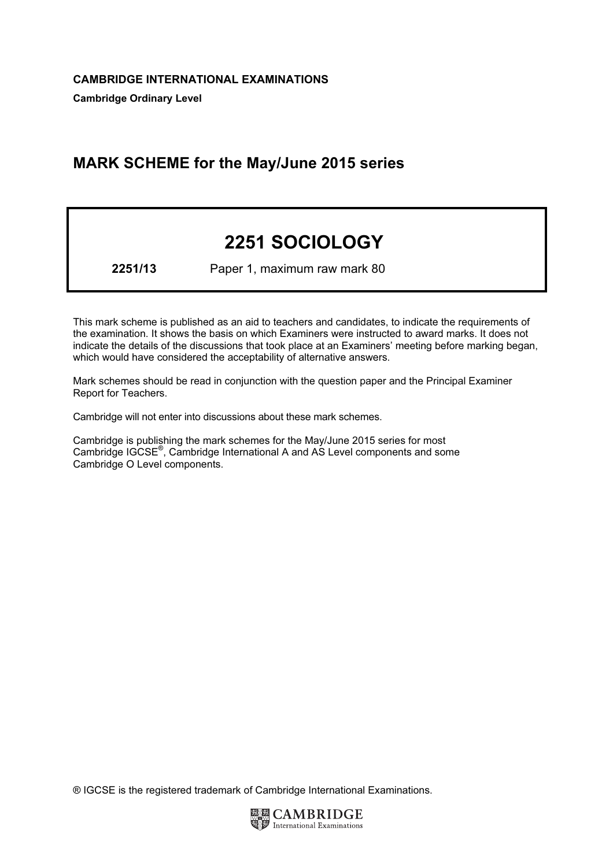# MARK SCHEME for the May/June 2015 series

# 2251 SOCIOLOGY

2251/13 Paper 1, maximum raw mark 80

This mark scheme is published as an aid to teachers and candidates, to indicate the requirements of the examination. It shows the basis on which Examiners were instructed to award marks. It does not indicate the details of the discussions that took place at an Examiners' meeting before marking began, which would have considered the acceptability of alternative answers.

Mark schemes should be read in conjunction with the question paper and the Principal Examiner Report for Teachers.

Cambridge will not enter into discussions about these mark schemes.

Cambridge is publishing the mark schemes for the May/June 2015 series for most Cambridge IGCSE*®* , Cambridge International A and AS Level components and some Cambridge O Level components.

® IGCSE is the registered trademark of Cambridge International Examinations.

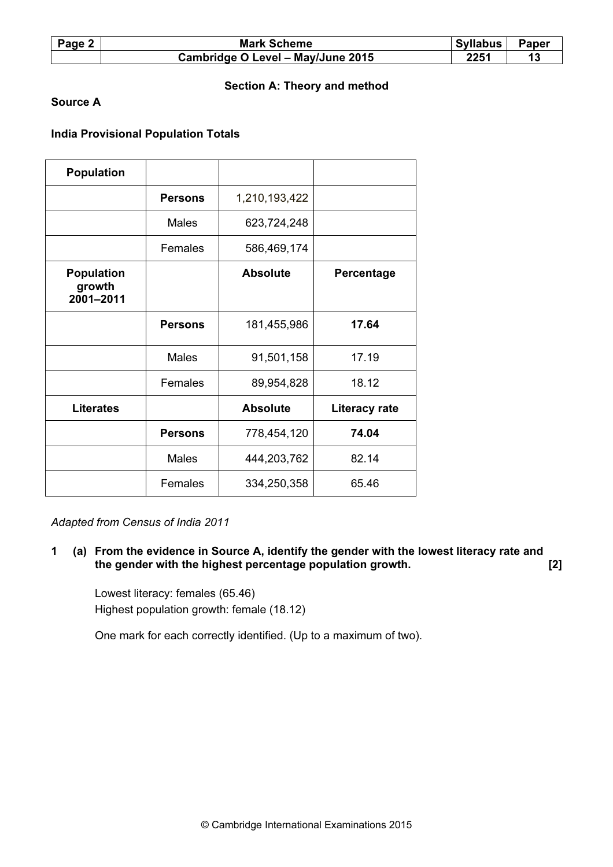| Page 2 | <b>Mark Scheme</b>                | Syllabus | <b>Paper</b> |
|--------|-----------------------------------|----------|--------------|
|        | Cambridge O Level - May/June 2015 | 2251     |              |

# Section A: Theory and method

# Source A

# India Provisional Population Totals

| <b>Population</b>                        |                |                 |                      |
|------------------------------------------|----------------|-----------------|----------------------|
|                                          | <b>Persons</b> | 1,210,193,422   |                      |
|                                          | Males          | 623,724,248     |                      |
|                                          | Females        | 586,469,174     |                      |
| <b>Population</b><br>growth<br>2001-2011 |                | <b>Absolute</b> | <b>Percentage</b>    |
|                                          | <b>Persons</b> | 181,455,986     | 17.64                |
|                                          | Males          | 91,501,158      | 17.19                |
|                                          | Females        | 89,954,828      | 18.12                |
| <b>Literates</b>                         |                | <b>Absolute</b> | <b>Literacy rate</b> |
|                                          | <b>Persons</b> | 778,454,120     | 74.04                |
|                                          | <b>Males</b>   | 444,203,762     | 82.14                |
|                                          | Females        | 334,250,358     | 65.46                |

Adapted from Census of India 2011

1 (a) From the evidence in Source A, identify the gender with the lowest literacy rate and the gender with the highest percentage population growth. [2]

 Lowest literacy: females (65.46) Highest population growth: female (18.12)

One mark for each correctly identified. (Up to a maximum of two).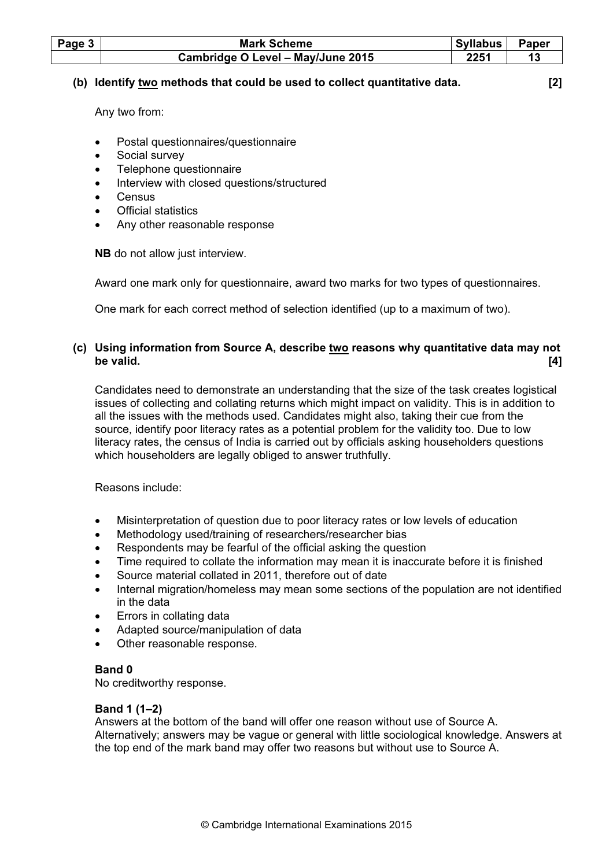| Page $3$ | <b>Mark Scheme</b>                | <b>Syllabus</b> | <b>Paper</b> |
|----------|-----------------------------------|-----------------|--------------|
|          | Cambridge O Level - May/June 2015 | 2251            |              |

#### (b) Identify two methods that could be used to collect quantitative data. [2]

Any two from:

- Postal questionnaires/questionnaire
- Social survey
- Telephone questionnaire
- Interview with closed questions/structured
- **Census**
- Official statistics
- Any other reasonable response

NB do not allow just interview.

Award one mark only for questionnaire, award two marks for two types of questionnaires.

One mark for each correct method of selection identified (up to a maximum of two).

# (c) Using information from Source A, describe two reasons why quantitative data may not be valid.  $[4]$

 Candidates need to demonstrate an understanding that the size of the task creates logistical issues of collecting and collating returns which might impact on validity. This is in addition to all the issues with the methods used. Candidates might also, taking their cue from the source, identify poor literacy rates as a potential problem for the validity too. Due to low literacy rates, the census of India is carried out by officials asking householders questions which householders are legally obliged to answer truthfully.

Reasons include:

- Misinterpretation of question due to poor literacy rates or low levels of education
- Methodology used/training of researchers/researcher bias
- Respondents may be fearful of the official asking the question
- Time required to collate the information may mean it is inaccurate before it is finished
- Source material collated in 2011, therefore out of date
- Internal migration/homeless may mean some sections of the population are not identified in the data
- Errors in collating data
- Adapted source/manipulation of data
- Other reasonable response.

#### Band 0

No creditworthy response.

#### Band 1 (1–2)

 Answers at the bottom of the band will offer one reason without use of Source A. Alternatively; answers may be vague or general with little sociological knowledge. Answers at the top end of the mark band may offer two reasons but without use to Source A.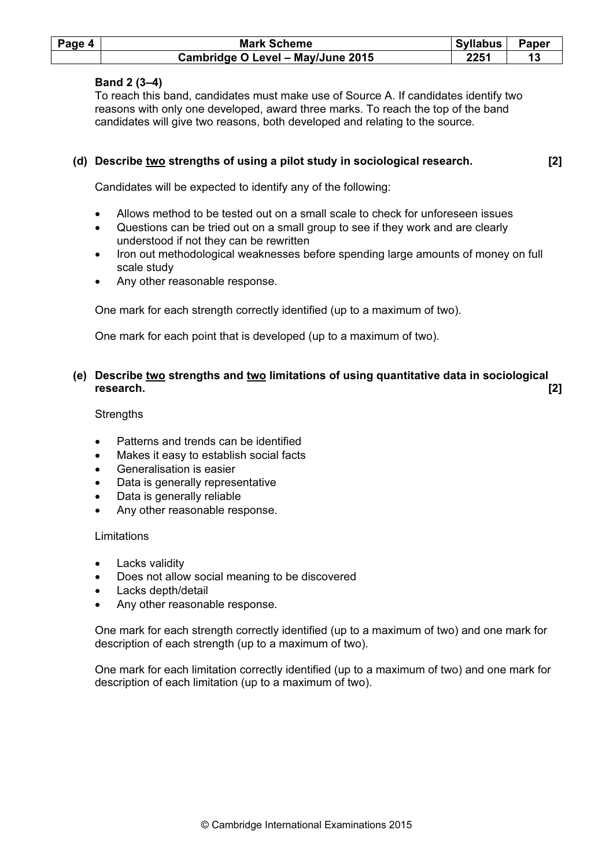| Page 4 | <b>Mark Scheme</b>                | Syllabus | Paper |
|--------|-----------------------------------|----------|-------|
|        | Cambridge O Level - May/June 2015 | 2251     |       |

# Band 2 (3–4)

 To reach this band, candidates must make use of Source A. If candidates identify two reasons with only one developed, award three marks. To reach the top of the band candidates will give two reasons, both developed and relating to the source.

# (d) Describe  $\underline{two}$  strengths of using a pilot study in sociological research.  $[2]$

Candidates will be expected to identify any of the following:

- Allows method to be tested out on a small scale to check for unforeseen issues
- Questions can be tried out on a small group to see if they work and are clearly understood if not they can be rewritten
- Iron out methodological weaknesses before spending large amounts of money on full scale study
- Any other reasonable response.

One mark for each strength correctly identified (up to a maximum of two).

One mark for each point that is developed (up to a maximum of two).

# (e) Describe <u>two</u> strengths and <u>two</u> limitations of using quantitative data in sociological<br>research research. [2]

**Strengths** 

- Patterns and trends can be identified
- Makes it easy to establish social facts
- Generalisation is easier
- Data is generally representative
- Data is generally reliable
- Any other reasonable response.

#### Limitations

- Lacks validity
- Does not allow social meaning to be discovered
- Lacks depth/detail
- Any other reasonable response.

 One mark for each strength correctly identified (up to a maximum of two) and one mark for description of each strength (up to a maximum of two).

 One mark for each limitation correctly identified (up to a maximum of two) and one mark for description of each limitation (up to a maximum of two).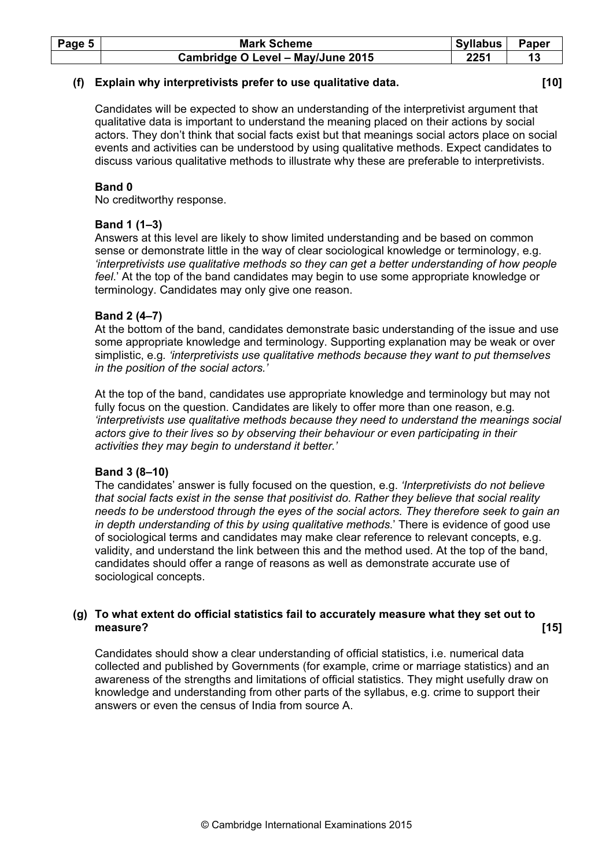| Page 5 | <b>Mark Scheme</b>                | Syllabus | <b>Paper</b> |
|--------|-----------------------------------|----------|--------------|
|        | Cambridge O Level - May/June 2015 | 2251     |              |

#### (f) Explain why interpretivists prefer to use qualitative data. [10]

 Candidates will be expected to show an understanding of the interpretivist argument that qualitative data is important to understand the meaning placed on their actions by social actors. They don't think that social facts exist but that meanings social actors place on social events and activities can be understood by using qualitative methods. Expect candidates to discuss various qualitative methods to illustrate why these are preferable to interpretivists.

# Band 0

No creditworthy response.

# Band 1 (1–3)

 Answers at this level are likely to show limited understanding and be based on common sense or demonstrate little in the way of clear sociological knowledge or terminology, e.g. 'interpretivists use qualitative methods so they can get a better understanding of how people feel.' At the top of the band candidates may begin to use some appropriate knowledge or terminology. Candidates may only give one reason.

# Band 2 (4–7)

 At the bottom of the band, candidates demonstrate basic understanding of the issue and use some appropriate knowledge and terminology. Supporting explanation may be weak or over simplistic, e.g. 'interpretivists use qualitative methods because they want to put themselves in the position of the social actors.'

 At the top of the band, candidates use appropriate knowledge and terminology but may not fully focus on the question. Candidates are likely to offer more than one reason, e.g. 'interpretivists use qualitative methods because they need to understand the meanings social actors give to their lives so by observing their behaviour or even participating in their activities they may begin to understand it better.'

# Band 3 (8–10)

 The candidates' answer is fully focused on the question, e.g. 'Interpretivists do not believe that social facts exist in the sense that positivist do. Rather they believe that social reality needs to be understood through the eyes of the social actors. They therefore seek to gain an in depth understanding of this by using qualitative methods.' There is evidence of good use of sociological terms and candidates may make clear reference to relevant concepts, e.g. validity, and understand the link between this and the method used. At the top of the band, candidates should offer a range of reasons as well as demonstrate accurate use of sociological concepts.

# (g) To what extent do official statistics fail to accurately measure what they set out to measure? [15]

 Candidates should show a clear understanding of official statistics, i.e. numerical data collected and published by Governments (for example, crime or marriage statistics) and an awareness of the strengths and limitations of official statistics. They might usefully draw on knowledge and understanding from other parts of the syllabus, e.g. crime to support their answers or even the census of India from source A.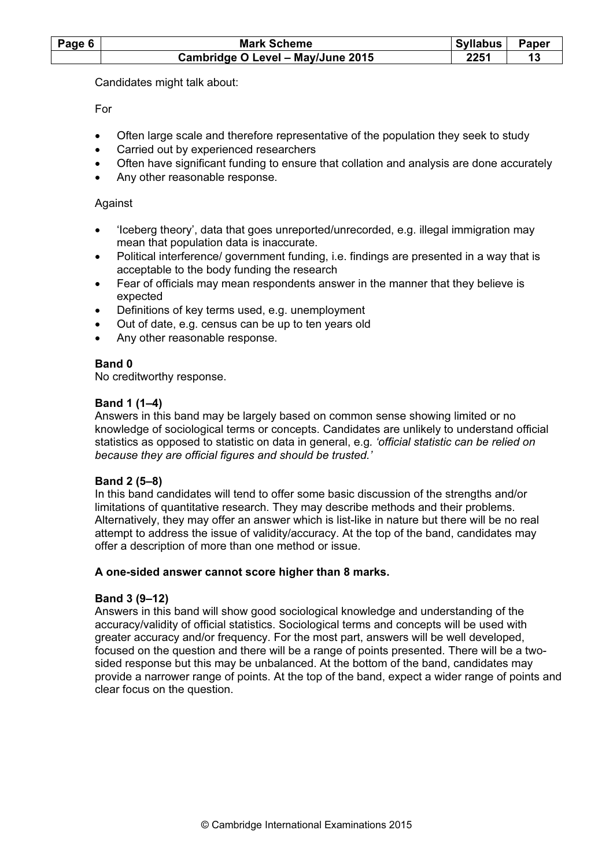| Page 6 | <b>Mark Scheme</b>                | Syllabus | Paper |
|--------|-----------------------------------|----------|-------|
|        | Cambridge O Level - May/June 2015 | 2251     |       |

Candidates might talk about:

For

- Often large scale and therefore representative of the population they seek to study
- Carried out by experienced researchers
- Often have significant funding to ensure that collation and analysis are done accurately
- Any other reasonable response.

# Against

- 'Iceberg theory', data that goes unreported/unrecorded, e.g. illegal immigration may mean that population data is inaccurate.
- Political interference/ government funding, i.e. findings are presented in a way that is acceptable to the body funding the research
- Fear of officials may mean respondents answer in the manner that they believe is expected
- Definitions of key terms used, e.g. unemployment
- Out of date, e.g. census can be up to ten years old
- Any other reasonable response.

#### Band 0

No creditworthy response.

# Band 1 (1–4)

 Answers in this band may be largely based on common sense showing limited or no knowledge of sociological terms or concepts. Candidates are unlikely to understand official statistics as opposed to statistic on data in general, e.g. 'official statistic can be relied on because they are official figures and should be trusted.'

# Band 2 (5–8)

 In this band candidates will tend to offer some basic discussion of the strengths and/or limitations of quantitative research. They may describe methods and their problems. Alternatively, they may offer an answer which is list-like in nature but there will be no real attempt to address the issue of validity/accuracy. At the top of the band, candidates may offer a description of more than one method or issue.

#### A one-sided answer cannot score higher than 8 marks.

# Band 3 (9–12)

 Answers in this band will show good sociological knowledge and understanding of the accuracy/validity of official statistics. Sociological terms and concepts will be used with greater accuracy and/or frequency. For the most part, answers will be well developed, focused on the question and there will be a range of points presented. There will be a twosided response but this may be unbalanced. At the bottom of the band, candidates may provide a narrower range of points. At the top of the band, expect a wider range of points and clear focus on the question.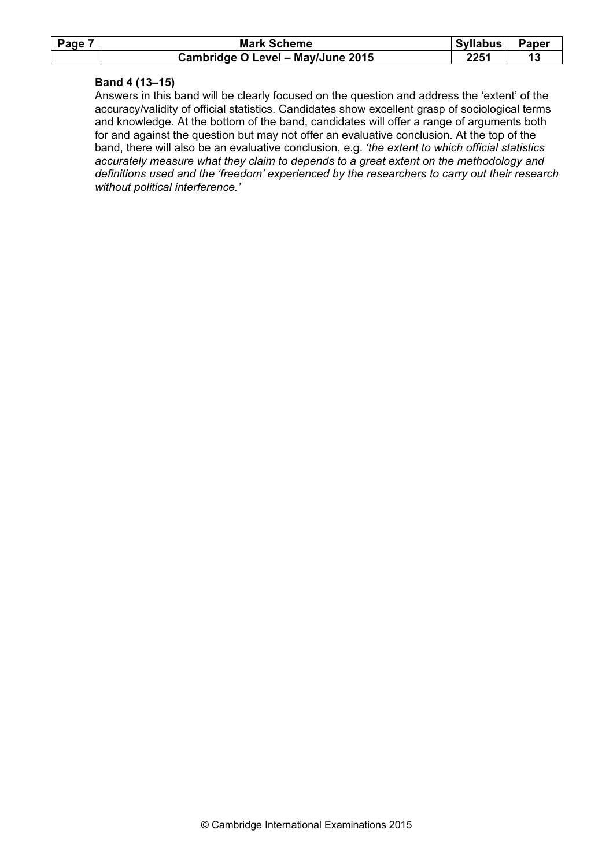| Page 7 | <b>Mark Scheme</b>                | <b>Syllabus</b> | <b>Paper</b> |
|--------|-----------------------------------|-----------------|--------------|
|        | Cambridge O Level – May/June 2015 | 2251            |              |

#### Band 4 (13–15)

 Answers in this band will be clearly focused on the question and address the 'extent' of the accuracy/validity of official statistics. Candidates show excellent grasp of sociological terms and knowledge. At the bottom of the band, candidates will offer a range of arguments both for and against the question but may not offer an evaluative conclusion. At the top of the band, there will also be an evaluative conclusion, e.g. 'the extent to which official statistics accurately measure what they claim to depends to a great extent on the methodology and definitions used and the 'freedom' experienced by the researchers to carry out their research without political interference.'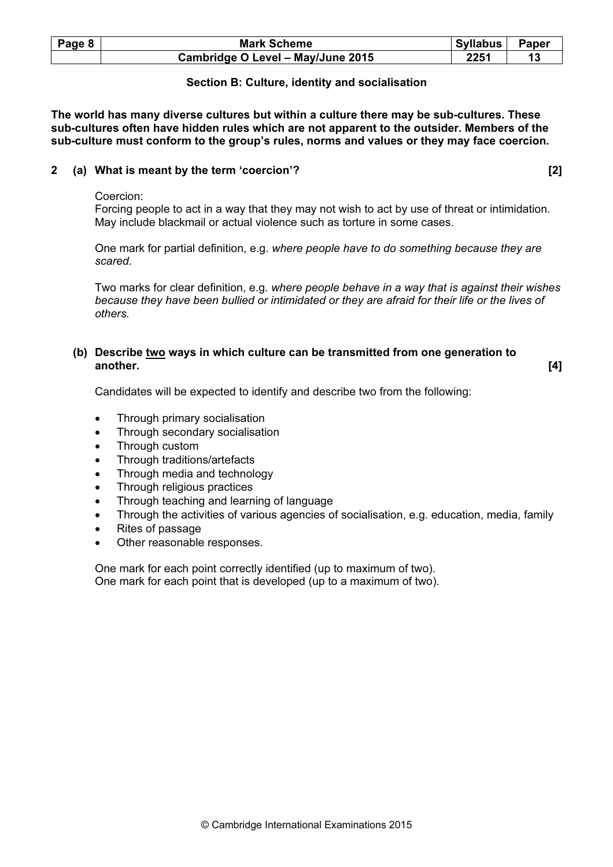| Page 8 | <b>Mark Scheme</b>                | Syllabus | Paper |
|--------|-----------------------------------|----------|-------|
|        | Cambridge O Level - May/June 2015 | 2251     |       |

# Section B: Culture, identity and socialisation

The world has many diverse cultures but within a culture there may be sub-cultures. These sub-cultures often have hidden rules which are not apparent to the outsider. Members of the sub-culture must conform to the group's rules, norms and values or they may face coercion.

# 2 (a) What is meant by the term 'coercion'? [2]

#### Coercion:

 Forcing people to act in a way that they may not wish to act by use of threat or intimidation. May include blackmail or actual violence such as torture in some cases.

 One mark for partial definition, e.g. where people have to do something because they are scared.

 Two marks for clear definition, e.g. where people behave in a way that is against their wishes because they have been bullied or intimidated or they are afraid for their life or the lives of others.

#### (b) Describe  $\underline{two}$  ways in which culture can be transmitted from one generation to another. another. [4]

Candidates will be expected to identify and describe two from the following:

- Through primary socialisation
- Through secondary socialisation
- Through custom
- Through traditions/artefacts
- Through media and technology
- Through religious practices
- Through teaching and learning of language
- Through the activities of various agencies of socialisation, e.g. education, media, family
- Rites of passage
- Other reasonable responses.

 One mark for each point correctly identified (up to maximum of two). One mark for each point that is developed (up to a maximum of two).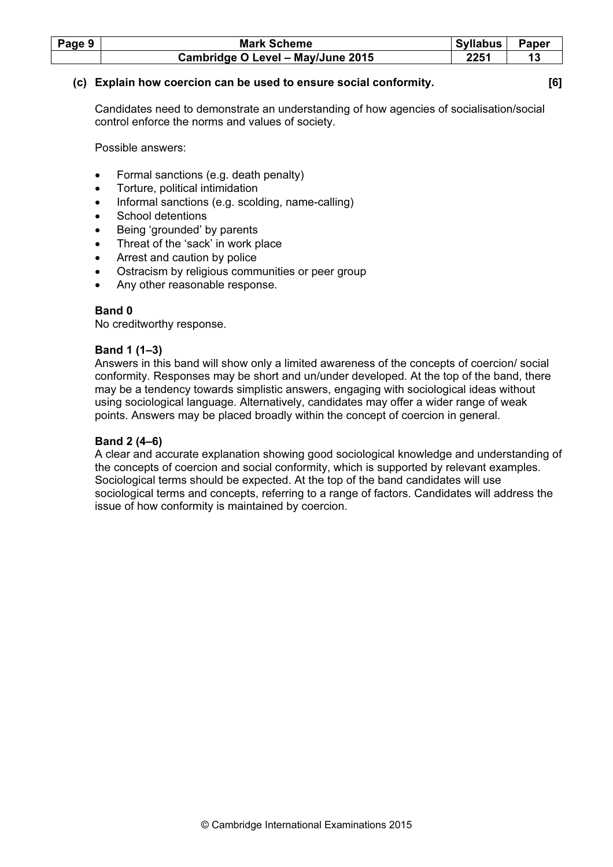| Page 9 | <b>Mark Scheme</b>                | <b>Syllabus</b> | <b>Paper</b> |
|--------|-----------------------------------|-----------------|--------------|
|        | Cambridge O Level - May/June 2015 | ククスイ            |              |

#### (c) Explain how coercion can be used to ensure social conformity. [6]

 Candidates need to demonstrate an understanding of how agencies of socialisation/social control enforce the norms and values of society.

Possible answers:

- Formal sanctions (e.g. death penalty)
- Torture, political intimidation
- Informal sanctions (e.g. scolding, name-calling)
- School detentions
- Being 'grounded' by parents
- Threat of the 'sack' in work place
- Arrest and caution by police
- Ostracism by religious communities or peer group
- Any other reasonable response.

# Band 0

No creditworthy response.

#### Band 1 (1–3)

 Answers in this band will show only a limited awareness of the concepts of coercion/ social conformity. Responses may be short and un/under developed. At the top of the band, there may be a tendency towards simplistic answers, engaging with sociological ideas without using sociological language. Alternatively, candidates may offer a wider range of weak points. Answers may be placed broadly within the concept of coercion in general.

# Band 2 (4–6)

 A clear and accurate explanation showing good sociological knowledge and understanding of the concepts of coercion and social conformity, which is supported by relevant examples. Sociological terms should be expected. At the top of the band candidates will use sociological terms and concepts, referring to a range of factors. Candidates will address the issue of how conformity is maintained by coercion.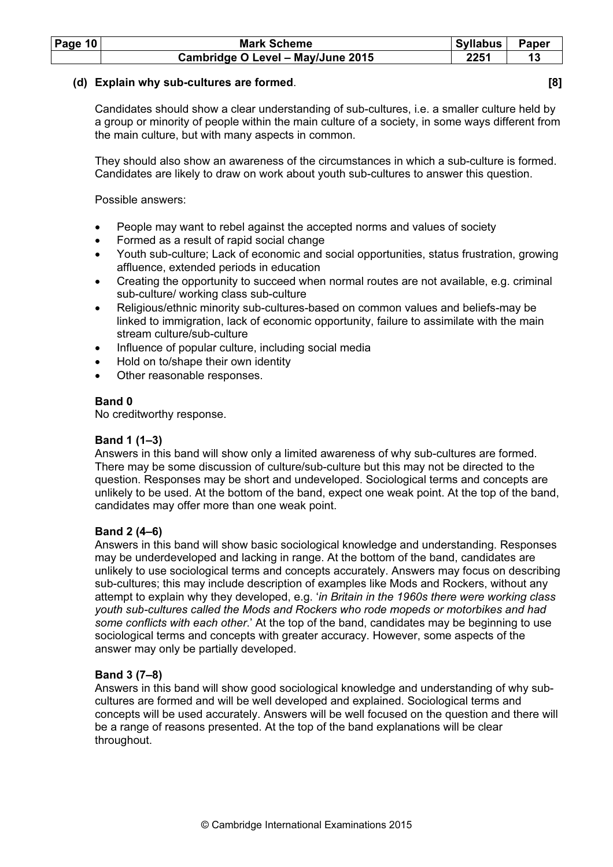| <b>Page 10</b> | <b>Mark Scheme</b>                | <b>Syllabus</b> | Paper |
|----------------|-----------------------------------|-----------------|-------|
|                | Cambridge O Level - May/June 2015 | 2251            |       |

#### (d) Explain why sub-cultures are formed. [8]

 Candidates should show a clear understanding of sub-cultures, i.e. a smaller culture held by a group or minority of people within the main culture of a society, in some ways different from the main culture, but with many aspects in common.

 They should also show an awareness of the circumstances in which a sub-culture is formed. Candidates are likely to draw on work about youth sub-cultures to answer this question.

Possible answers:

- People may want to rebel against the accepted norms and values of society
- Formed as a result of rapid social change
- Youth sub-culture; Lack of economic and social opportunities, status frustration, growing affluence, extended periods in education
- Creating the opportunity to succeed when normal routes are not available, e.g. criminal sub-culture/ working class sub-culture
- Religious/ethnic minority sub-cultures-based on common values and beliefs-may be linked to immigration, lack of economic opportunity, failure to assimilate with the main stream culture/sub-culture
- Influence of popular culture, including social media
- Hold on to/shape their own identity
- Other reasonable responses.

#### Band 0

No creditworthy response.

# Band 1 (1–3)

 Answers in this band will show only a limited awareness of why sub-cultures are formed. There may be some discussion of culture/sub-culture but this may not be directed to the question. Responses may be short and undeveloped. Sociological terms and concepts are unlikely to be used. At the bottom of the band, expect one weak point. At the top of the band, candidates may offer more than one weak point.

# Band 2 (4–6)

 Answers in this band will show basic sociological knowledge and understanding. Responses may be underdeveloped and lacking in range. At the bottom of the band, candidates are unlikely to use sociological terms and concepts accurately. Answers may focus on describing sub-cultures; this may include description of examples like Mods and Rockers, without any attempt to explain why they developed, e.g. 'in Britain in the 1960s there were working class youth sub-cultures called the Mods and Rockers who rode mopeds or motorbikes and had some conflicts with each other.' At the top of the band, candidates may be beginning to use sociological terms and concepts with greater accuracy. However, some aspects of the answer may only be partially developed.

# Band 3 (7–8)

 Answers in this band will show good sociological knowledge and understanding of why subcultures are formed and will be well developed and explained. Sociological terms and concepts will be used accurately. Answers will be well focused on the question and there will be a range of reasons presented. At the top of the band explanations will be clear throughout.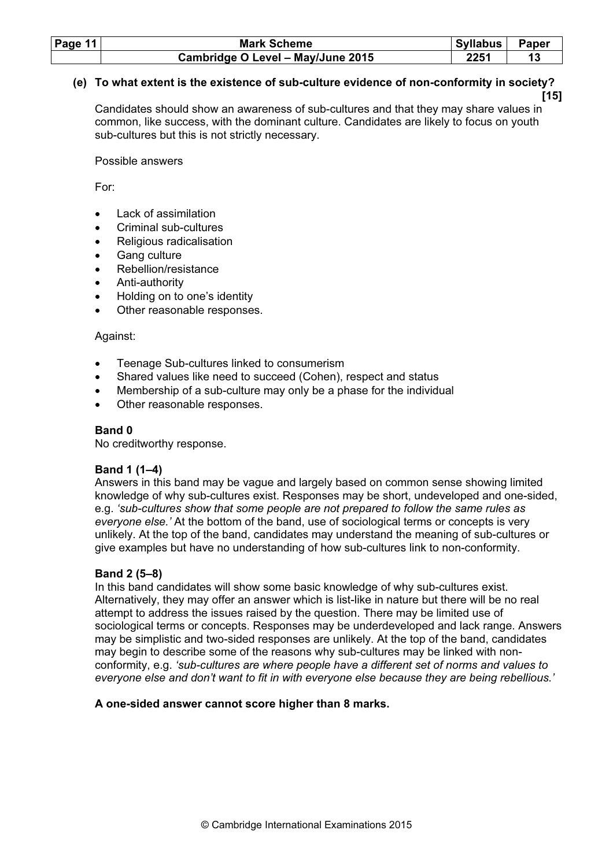| Page $11$ | <b>Mark Scheme</b>                | Syllabus | Paper |
|-----------|-----------------------------------|----------|-------|
|           | Cambridge O Level - May/June 2015 | 2251     |       |

# (e) To what extent is the existence of sub-culture evidence of non-conformity in society?

[15] Candidates should show an awareness of sub-cultures and that they may share values in common, like success, with the dominant culture. Candidates are likely to focus on youth sub-cultures but this is not strictly necessary.

Possible answers

For:

- Lack of assimilation
- Criminal sub-cultures
- Religious radicalisation
- Gang culture
- Rebellion/resistance
- Anti-authority
- Holding on to one's identity
- Other reasonable responses.

# Against:

- Teenage Sub-cultures linked to consumerism
- Shared values like need to succeed (Cohen), respect and status
- Membership of a sub-culture may only be a phase for the individual
- Other reasonable responses.

# Band 0

No creditworthy response.

# Band 1 (1–4)

 Answers in this band may be vague and largely based on common sense showing limited knowledge of why sub-cultures exist. Responses may be short, undeveloped and one-sided, e.g. 'sub-cultures show that some people are not prepared to follow the same rules as everyone else.' At the bottom of the band, use of sociological terms or concepts is very unlikely. At the top of the band, candidates may understand the meaning of sub-cultures or give examples but have no understanding of how sub-cultures link to non-conformity.

# Band 2 (5–8)

 In this band candidates will show some basic knowledge of why sub-cultures exist. Alternatively, they may offer an answer which is list-like in nature but there will be no real attempt to address the issues raised by the question. There may be limited use of sociological terms or concepts. Responses may be underdeveloped and lack range. Answers may be simplistic and two-sided responses are unlikely. At the top of the band, candidates may begin to describe some of the reasons why sub-cultures may be linked with nonconformity, e.g. 'sub-cultures are where people have a different set of norms and values to everyone else and don't want to fit in with everyone else because they are being rebellious.'

# A one-sided answer cannot score higher than 8 marks.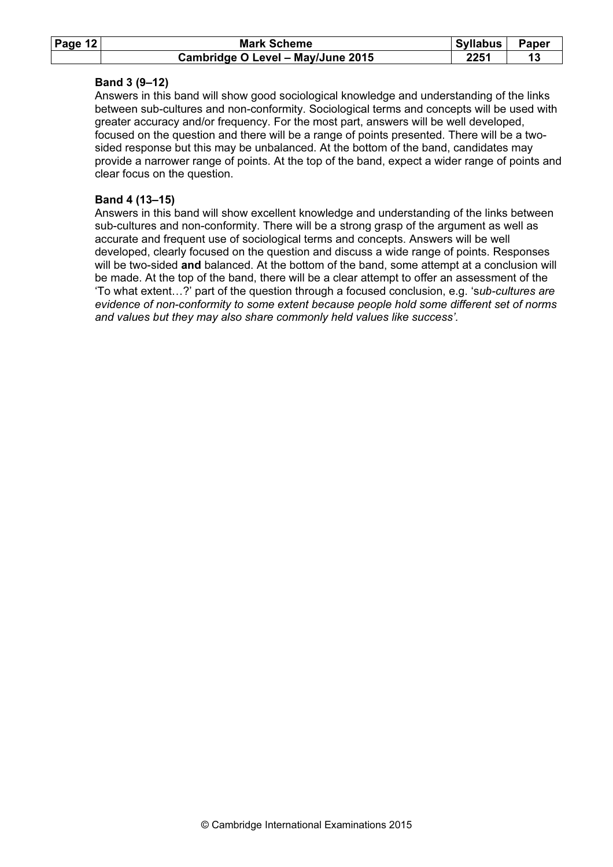| Page $12$ | <b>Mark Scheme</b>                | <b>Syllabus</b> | Paper |
|-----------|-----------------------------------|-----------------|-------|
|           | Cambridge O Level - May/June 2015 | 2251            |       |

#### Band 3 (9–12)

 Answers in this band will show good sociological knowledge and understanding of the links between sub-cultures and non-conformity. Sociological terms and concepts will be used with greater accuracy and/or frequency. For the most part, answers will be well developed, focused on the question and there will be a range of points presented. There will be a twosided response but this may be unbalanced. At the bottom of the band, candidates may provide a narrower range of points. At the top of the band, expect a wider range of points and clear focus on the question.

#### Band 4 (13–15)

 Answers in this band will show excellent knowledge and understanding of the links between sub-cultures and non-conformity. There will be a strong grasp of the argument as well as accurate and frequent use of sociological terms and concepts. Answers will be well developed, clearly focused on the question and discuss a wide range of points. Responses will be two-sided and balanced. At the bottom of the band, some attempt at a conclusion will be made. At the top of the band, there will be a clear attempt to offer an assessment of the 'To what extent…?' part of the question through a focused conclusion, e.g. 'sub-cultures are evidence of non-conformity to some extent because people hold some different set of norms and values but they may also share commonly held values like success'.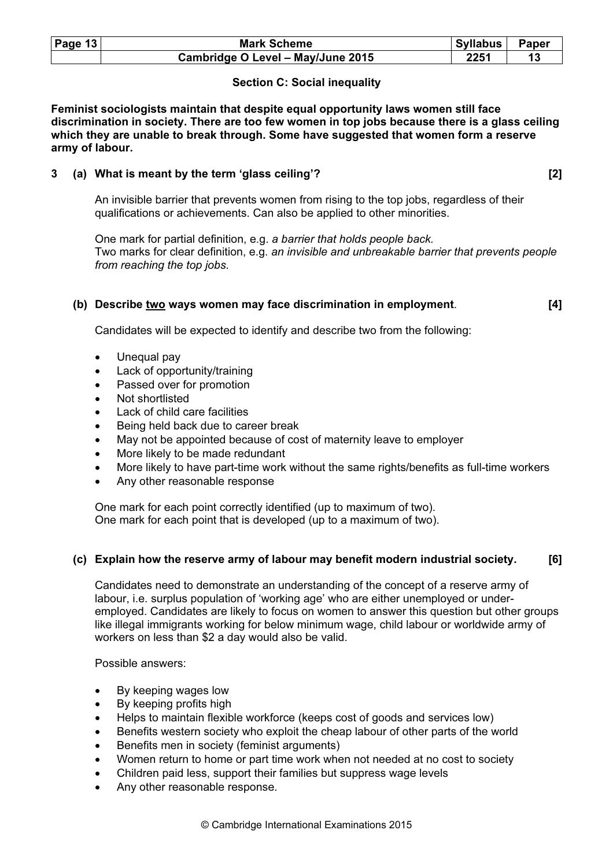| Page $13$ | <b>Mark Scheme</b>                | Syllabus   Paper |  |
|-----------|-----------------------------------|------------------|--|
|           | Cambridge O Level - May/June 2015 | 2251             |  |

# Section C: Social inequality

Feminist sociologists maintain that despite equal opportunity laws women still face discrimination in society. There are too few women in top jobs because there is a glass ceiling which they are unable to break through. Some have suggested that women form a reserve army of labour.

# 3 (a) What is meant by the term 'glass ceiling'? [2]

 An invisible barrier that prevents women from rising to the top jobs, regardless of their qualifications or achievements. Can also be applied to other minorities.

 One mark for partial definition, e.g. a barrier that holds people back. Two marks for clear definition, e.g. an invisible and unbreakable barrier that prevents people from reaching the top jobs.

# (b) Describe two ways women may face discrimination in employment. [4]

Candidates will be expected to identify and describe two from the following:

- Unequal pay
- Lack of opportunity/training
- Passed over for promotion
- Not shortlisted
- Lack of child care facilities
- Being held back due to career break
- May not be appointed because of cost of maternity leave to employer
- More likely to be made redundant
- More likely to have part-time work without the same rights/benefits as full-time workers
- Any other reasonable response

 One mark for each point correctly identified (up to maximum of two). One mark for each point that is developed (up to a maximum of two).

# (c) Explain how the reserve army of labour may benefit modern industrial society. [6]

 Candidates need to demonstrate an understanding of the concept of a reserve army of labour, i.e. surplus population of 'working age' who are either unemployed or underemployed. Candidates are likely to focus on women to answer this question but other groups like illegal immigrants working for below minimum wage, child labour or worldwide army of workers on less than \$2 a day would also be valid.

Possible answers:

- By keeping wages low
- By keeping profits high
- Helps to maintain flexible workforce (keeps cost of goods and services low)
- Benefits western society who exploit the cheap labour of other parts of the world
- Benefits men in society (feminist arguments)
- Women return to home or part time work when not needed at no cost to society
- Children paid less, support their families but suppress wage levels
- Any other reasonable response.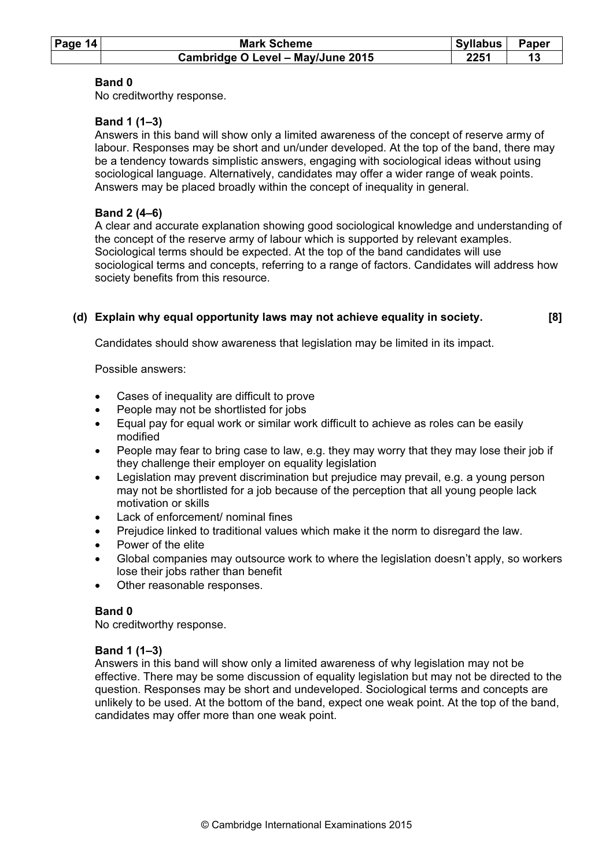| Page $14$ | <b>Mark Scheme</b>                | <b>Syllabus</b> | Paper |
|-----------|-----------------------------------|-----------------|-------|
|           | Cambridge O Level - May/June 2015 | 2251            |       |

# Band 0

No creditworthy response.

# Band 1 (1–3)

 Answers in this band will show only a limited awareness of the concept of reserve army of labour. Responses may be short and un/under developed. At the top of the band, there may be a tendency towards simplistic answers, engaging with sociological ideas without using sociological language. Alternatively, candidates may offer a wider range of weak points. Answers may be placed broadly within the concept of inequality in general.

#### Band 2 (4–6)

 A clear and accurate explanation showing good sociological knowledge and understanding of the concept of the reserve army of labour which is supported by relevant examples. Sociological terms should be expected. At the top of the band candidates will use sociological terms and concepts, referring to a range of factors. Candidates will address how society benefits from this resource.

# (d) Explain why equal opportunity laws may not achieve equality in society. [8]

Candidates should show awareness that legislation may be limited in its impact.

Possible answers:

- Cases of inequality are difficult to prove
- People may not be shortlisted for jobs
- Equal pay for equal work or similar work difficult to achieve as roles can be easily modified
- People may fear to bring case to law, e.g. they may worry that they may lose their job if they challenge their employer on equality legislation
- Legislation may prevent discrimination but prejudice may prevail, e.g. a young person may not be shortlisted for a job because of the perception that all young people lack motivation or skills
- Lack of enforcement/ nominal fines
- Prejudice linked to traditional values which make it the norm to disregard the law.
- Power of the elite
- Global companies may outsource work to where the legislation doesn't apply, so workers lose their jobs rather than benefit
- Other reasonable responses.

# Band 0

No creditworthy response.

# Band 1 (1–3)

 Answers in this band will show only a limited awareness of why legislation may not be effective. There may be some discussion of equality legislation but may not be directed to the question. Responses may be short and undeveloped. Sociological terms and concepts are unlikely to be used. At the bottom of the band, expect one weak point. At the top of the band, candidates may offer more than one weak point.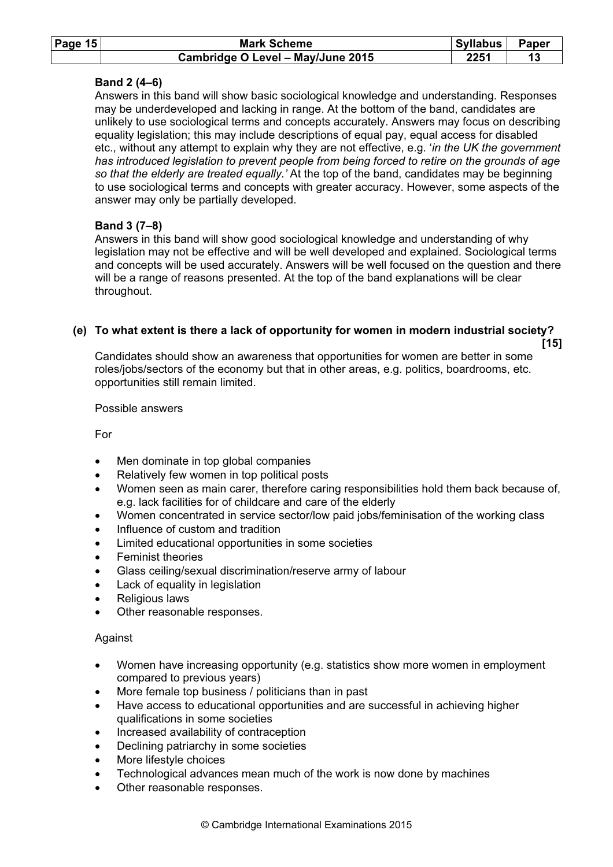| Page $15$ | <b>Mark Scheme</b>                | Syllabus | <b>Paper</b> |
|-----------|-----------------------------------|----------|--------------|
|           | Cambridge O Level - May/June 2015 | 2251     |              |

# Band 2 (4–6)

 Answers in this band will show basic sociological knowledge and understanding. Responses may be underdeveloped and lacking in range. At the bottom of the band, candidates are unlikely to use sociological terms and concepts accurately. Answers may focus on describing equality legislation; this may include descriptions of equal pay, equal access for disabled etc., without any attempt to explain why they are not effective, e.g. 'in the UK the government has introduced legislation to prevent people from being forced to retire on the grounds of age so that the elderly are treated equally.' At the top of the band, candidates may be beginning to use sociological terms and concepts with greater accuracy. However, some aspects of the answer may only be partially developed.

# Band 3 (7–8)

 Answers in this band will show good sociological knowledge and understanding of why legislation may not be effective and will be well developed and explained. Sociological terms and concepts will be used accurately. Answers will be well focused on the question and there will be a range of reasons presented. At the top of the band explanations will be clear throughout.

# (e) To what extent is there a lack of opportunity for women in modern industrial society?

 $[15]$ 

 Candidates should show an awareness that opportunities for women are better in some roles/jobs/sectors of the economy but that in other areas, e.g. politics, boardrooms, etc. opportunities still remain limited.

#### Possible answers

For

- Men dominate in top global companies
- Relatively few women in top political posts
- Women seen as main carer, therefore caring responsibilities hold them back because of, e.g. lack facilities for of childcare and care of the elderly
- Women concentrated in service sector/low paid jobs/feminisation of the working class
- Influence of custom and tradition
- Limited educational opportunities in some societies
- **Feminist theories**
- Glass ceiling/sexual discrimination/reserve army of labour
- Lack of equality in legislation
- Religious laws
- Other reasonable responses.

# Against

- Women have increasing opportunity (e.g. statistics show more women in employment compared to previous years)
- More female top business / politicians than in past
- Have access to educational opportunities and are successful in achieving higher qualifications in some societies
- Increased availability of contraception
- Declining patriarchy in some societies
- More lifestyle choices
- Technological advances mean much of the work is now done by machines
- Other reasonable responses.